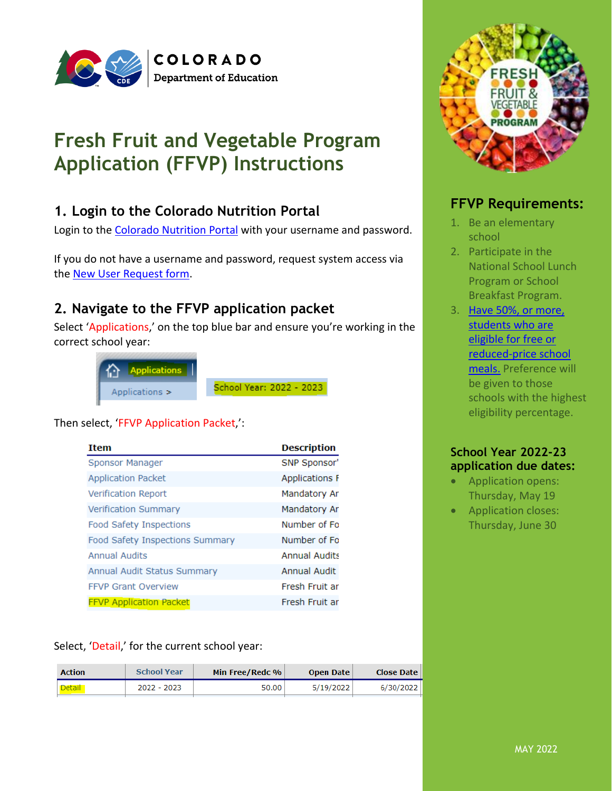

# **Fresh Fruit and Vegetable Program Application (FFVP) Instructions**

# **1. Login to the Colorado Nutrition Portal**

Login to the [Colorado Nutrition Portal](https://co.cnpus.com/Colorado/Splash.aspx) with your username and password.

If you do not have a username and password, request system access via the **New User Request form.** 

# **2. Navigate to the FFVP application packet**

Select 'Applications,' on the top blue bar and ensure you're working in the correct school year:

| <b>合</b> Applications |                          |
|-----------------------|--------------------------|
| Applications >        | School Year: 2022 - 2023 |

#### Then select, 'FFVP Application Packet,':

| <b>Item</b>                     | <b>Description</b>    |
|---------------------------------|-----------------------|
| Sponsor Manager                 | SNP Sponsor'          |
| <b>Application Packet</b>       | <b>Applications F</b> |
| <b>Verification Report</b>      | Mandatory Ar          |
| <b>Verification Summary</b>     | Mandatory Ar          |
| Food Safety Inspections         | Number of Fo          |
| Food Safety Inspections Summary | Number of Fo          |
| <b>Annual Audits</b>            | <b>Annual Audits</b>  |
| Annual Audit Status Summary     | <b>Annual Audit</b>   |
| <b>FFVP Grant Overview</b>      | Fresh Fruit ar        |
| <b>FFVP Application Packet</b>  | Fresh Fruit ar        |

Select, 'Detail,' for the current school year:

| <b>School Year</b><br><b>Action</b> |             | Min Free/Redc % | <b>Open Date</b> | <b>Close Date</b> |  |
|-------------------------------------|-------------|-----------------|------------------|-------------------|--|
| Detail                              | 2022 - 2023 | 50.00           | 5/19/2022        | 6/30/2022         |  |



#### **FFVP Requirements:**

- 1. Be an elementary school
- 2. Participate in the National School Lunch Program or School Breakfast Program.
- 3. Have 50%, or more, students who are [eligible for free or](http://www.cde.state.co.us/cdereval/2021-2022schoolpk-12frl)  [reduced-price school](http://www.cde.state.co.us/cdereval/2021-2022schoolpk-12frl)  [meals.](http://www.cde.state.co.us/cdereval/2021-2022schoolpk-12frl) Preference will be given to those schools with the highest eligibility percentage.

#### **School Year 2022-23 application due dates:**

- Application opens: Thursday, May 19
- Application closes: Thursday, June 30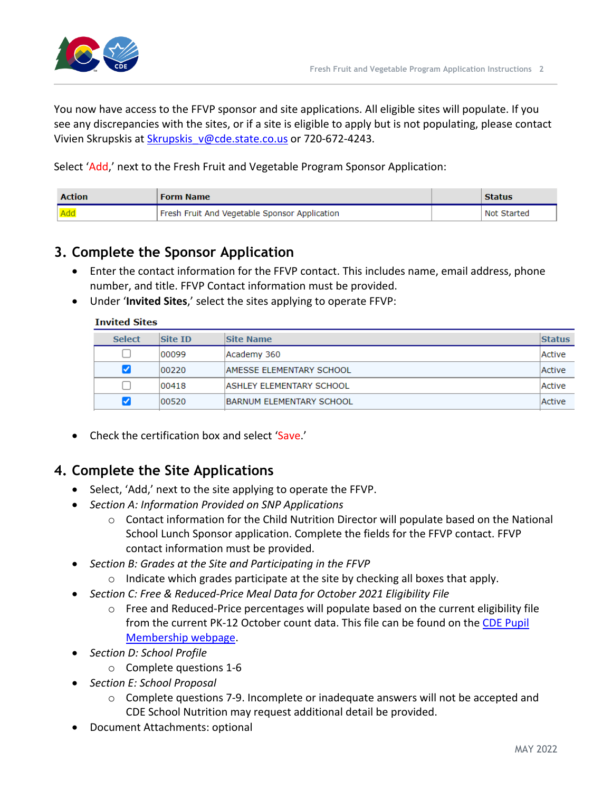



You now have access to the FFVP sponsor and site applications. All eligible sites will populate. If you see any discrepancies with the sites, or if a site is eligible to apply but is not populating, please contact Vivien Skrupskis at [Skrupskis\\_v@cde.state.co.us](mailto:Skrupskis_v@cde.state.co.us) or 720-672-4243.

Select 'Add,' next to the Fresh Fruit and Vegetable Program Sponsor Application:

| <b>Action</b> | <b>Form Name</b>                              | <b>Status</b> |
|---------------|-----------------------------------------------|---------------|
| Add           | Fresh Fruit And Vegetable Sponsor Application | Not Started   |

# **3. Complete the Sponsor Application**

- Enter the contact information for the FFVP contact. This includes name, email address, phone number, and title. FFVP Contact information must be provided.
- Under '**Invited Sites**,' select the sites applying to operate FFVP:

#### **Invited Sites**

| <b>Select</b>        | <b>Site ID</b> | Site Name                       | <b>Status</b> |
|----------------------|----------------|---------------------------------|---------------|
|                      | 00099          | Academy 360                     | Active        |
| $\blacktriangledown$ | 00220          | <b>AMESSE ELEMENTARY SCHOOL</b> | Active        |
|                      | 00418          | <b>ASHLEY ELEMENTARY SCHOOL</b> | Active        |
| ✓                    | 00520          | <b>BARNUM ELEMENTARY SCHOOL</b> | Active        |

• Check the certification box and select 'Save.'

## **4. Complete the Site Applications**

- Select, 'Add,' next to the site applying to operate the FFVP.
- *Section A: Information Provided on SNP Applications*
	- $\circ$  Contact information for the Child Nutrition Director will populate based on the National School Lunch Sponsor application. Complete the fields for the FFVP contact. FFVP contact information must be provided.
- *Section B: Grades at the Site and Participating in the FFVP*
	- $\circ$  Indicate which grades participate at the site by checking all boxes that apply.
- *Section C: Free & Reduced-Price Meal Data for October 2021 Eligibility File* 
	- $\circ$  Free and Reduced-Price percentages will populate based on the current eligibility file from the current PK-12 October count data. This file can be found on the [CDE Pupil](http://www.cde.state.co.us/cdereval/pupilcurrent)  [Membership webpage.](http://www.cde.state.co.us/cdereval/pupilcurrent)
- *Section D: School Profile*
	- o Complete questions 1-6
- *Section E: School Proposal*
	- o Complete questions 7-9. Incomplete or inadequate answers will not be accepted and CDE School Nutrition may request additional detail be provided.
- Document Attachments: optional